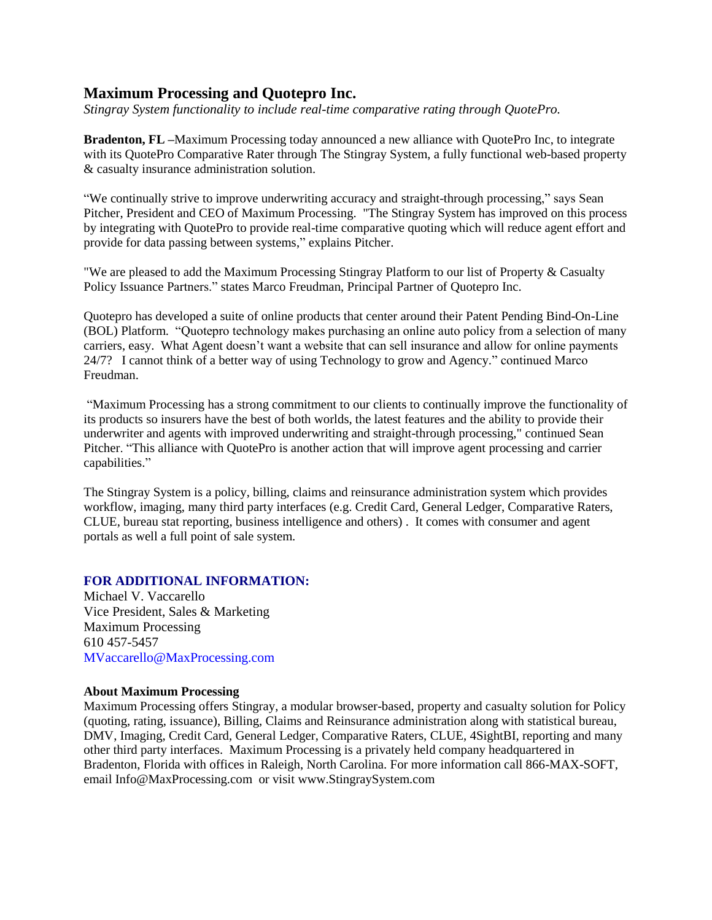## **Maximum Processing and Quotepro Inc.**

*Stingray System functionality to include real-time comparative rating through QuotePro.*

**Bradenton, FL –**Maximum Processing today announced a new alliance with QuotePro Inc, to integrate with its QuotePro Comparative Rater through The Stingray System, a fully functional web-based property & casualty insurance administration solution.

"We continually strive to improve underwriting accuracy and straight-through processing," says Sean Pitcher, President and CEO of Maximum Processing. "The Stingray System has improved on this process by integrating with QuotePro to provide real-time comparative quoting which will reduce agent effort and provide for data passing between systems," explains Pitcher.

"We are pleased to add the Maximum Processing Stingray Platform to our list of Property & Casualty Policy Issuance Partners." states Marco Freudman, Principal Partner of Quotepro Inc.

Quotepro has developed a suite of online products that center around their Patent Pending Bind-On-Line (BOL) Platform. "Quotepro technology makes purchasing an online auto policy from a selection of many carriers, easy. What Agent doesn't want a website that can sell insurance and allow for online payments 24/7? I cannot think of a better way of using Technology to grow and Agency." continued Marco Freudman.

"Maximum Processing has a strong commitment to our clients to continually improve the functionality of its products so insurers have the best of both worlds, the latest features and the ability to provide their underwriter and agents with improved underwriting and straight-through processing," continued Sean Pitcher. "This alliance with QuotePro is another action that will improve agent processing and carrier capabilities."

The Stingray System is a policy, billing, claims and reinsurance administration system which provides workflow, imaging, many third party interfaces (e.g. Credit Card, General Ledger, Comparative Raters, CLUE, bureau stat reporting, business intelligence and others) . It comes with consumer and agent portals as well a full point of sale system.

## **FOR ADDITIONAL INFORMATION:**

Michael V. Vaccarello Vice President, Sales & Marketing Maximum Processing 610 457-5457 MVaccarello@MaxProcessing.com

## **About Maximum Processing**

Maximum Processing offers Stingray, a modular browser-based, property and casualty solution for Policy (quoting, rating, issuance), Billing, Claims and Reinsurance administration along with statistical bureau, DMV, Imaging, Credit Card, General Ledger, Comparative Raters, CLUE, 4SightBI, reporting and many other third party interfaces. Maximum Processing is a privately held company headquartered in Bradenton, Florida with offices in Raleigh, North Carolina. For more information call 866-MAX-SOFT, email Info@MaxProcessing.com or visit www.StingraySystem.com